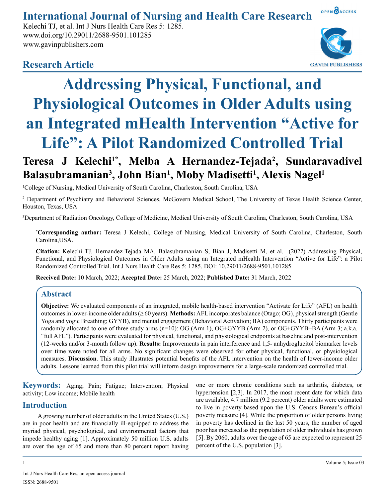#### OPEN OACCESS **International Journal of Nursing and Health Care Research**

Kelechi TJ, et al. Int J Nurs Health Care Res 5: 1285. www.doi.org/10.29011/2688-9501.101285 www.gavinpublishers.com



# **Research Article**



# Teresa J Kelechi<sup>1\*</sup>, Melba A Hernandez-Tejada<sup>2</sup>, Sundaravadivel Balasubramanian<sup>3</sup>, John Bian<sup>1</sup>, Moby Madisetti<sup>1</sup>, Alexis Nagel<sup>1</sup>

1 College of Nursing, Medical University of South Carolina, Charleston, South Carolina, USA

<sup>2</sup> Department of Psychiatry and Behavioral Sciences, McGovern Medical School, The University of Texas Health Science Center, Houston, Texas, USA

3 Department of Radiation Oncology, College of Medicine, Medical University of South Carolina, Charleston, South Carolina, USA

**\* Corresponding author:** Teresa J Kelechi, College of Nursing, Medical University of South Carolina, Charleston, South Carolina,USA.

**Citation:** Kelechi TJ, Hernandez-Tejada MA, Balasubramanian S, Bian J, Madisetti M, et al. (2022) Addressing Physical, Functional, and Physiological Outcomes in Older Adults using an Integrated mHealth Intervention "Active for Life": a Pilot Randomized Controlled Trial. Int J Nurs Health Care Res 5: 1285. DOI: 10.29011/2688-9501.101285

**Received Date:** 10 March, 2022; **Accepted Date:** 25 March, 2022; **Published Date:** 31 March, 2022

# **Abstract**

**Objective:** We evaluated components of an integrated, mobile health-based intervention "Activate for Life" (AFL) on health outcomes in lower-income older adults (≥ 60 years). **Methods:** AFL incorporates balance (Otago; OG), physical strength (Gentle Yoga and yogic Breathing; GYYB), and mental engagement (Behavioral Activation; BA) components. Thirty participants were randomly allocated to one of three study arms (n=10): OG (Arm 1), OG+GYYB (Arm 2), or OG+GYYB+BA (Arm 3; a.k.a. "full AFL"). Participants were evaluated for physical, functional, and physiological endpoints at baseline and post-intervention (12-weeks and/or 3-month follow up). **Results:** Improvements in pain interference and 1,5- anhydroglucitol biomarker levels over time were noted for all arms. No significant changes were observed for other physical, functional, or physiological measures. **Discussion**. This study illustrates potential benefits of the AFL intervention on the health of lower-income older adults. Lessons learned from this pilot trial will inform design improvements for a large-scale randomized controlled trial.

**Keywords:** Aging; Pain; Fatigue; Intervention; Physical activity; Low income; Mobile health

# **Introduction**

A growing number of older adults in the United States (U.S.) are in poor health and are financially ill-equipped to address the myriad physical, psychological, and environmental factors that impede healthy aging [1]. Approximately 50 million U.S. adults are over the age of 65 and more than 80 percent report having one or more chronic conditions such as arthritis, diabetes, or hypertension [2,3]. In 2017, the most recent date for which data are available, 4.7 million (9.2 percent) older adults were estimated to live in poverty based upon the U.S. Census Bureau's official poverty measure [4]. While the proportion of older persons living in poverty has declined in the last 50 years, the number of aged poor has increased as the population of older individuals has grown [5]. By 2060, adults over the age of 65 are expected to represent 25 percent of the U.S. population [3].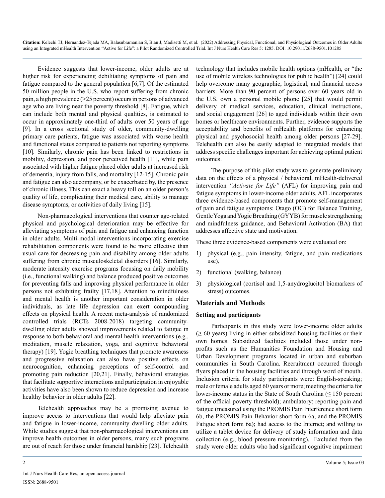Evidence suggests that lower-income, older adults are at higher risk for experiencing debilitating symptoms of pain and fatigue compared to the general population [6,7]. Of the estimated 50 million people in the U.S. who report suffering from chronic pain, a high prevalence (>25 percent) occurs in persons of advanced age who are living near the poverty threshold [8]. Fatigue, which can include both mental and physical qualities, is estimated to occur in approximately one-third of adults over 50 years of age [9]. In a cross sectional study of older, community-dwelling primary care patients, fatigue was associated with worse health and functional status compared to patients not reporting symptoms [10]. Similarly, chronic pain has been linked to restrictions in mobility, depression, and poor perceived health [11], while pain associated with higher fatigue placed older adults at increased risk of dementia, injury from falls, and mortality [12-15]. Chronic pain and fatigue can also accompany, or be exacerbated by, the presence of chronic illness. This can exact a heavy toll on an older person's quality of life, complicating their medical care, ability to manage disease symptoms, or activities of daily living [15].

Non-pharmacological interventions that counter age-related physical and psychological deterioration may be effective for alleviating symptoms of pain and fatigue and enhancing function in older adults. Multi-modal interventions incorporating exercise rehabilitation components were found to be more effective than usual care for decreasing pain and disability among older adults suffering from chronic musculoskeletal disorders [16]. Similarly, moderate intensity exercise programs focusing on daily mobility (i.e., functional walking) and balance produced positive outcomes for preventing falls and improving physical performance in older persons not exhibiting frailty [17,18]. Attention to mindfulness and mental health is another important consideration in older individuals, as late life depression can exert compounding effects on physical health. A recent meta-analysis of randomized controlled trials (RCTs 2008-2018) targeting communitydwelling older adults showed improvements related to fatigue in response to both behavioral and mental health interventions (e.g., meditation, muscle relaxation, yoga, and cognitive behavioral therapy) [19]. Yogic breathing techniques that promote awareness and progressive relaxation can also have positive effects on neurocognition, enhancing perceptions of self-control and promoting pain reduction [20,21]. Finally, behavioral strategies that facilitate supportive interactions and participation in enjoyable activities have also been shown to reduce depression and increase healthy behavior in older adults [22].

Telehealth approaches may be a promising avenue to improve access to interventions that would help alleviate pain and fatigue in lower-income, community dwelling older adults. While studies suggest that non-pharmacological interventions can improve health outcomes in older persons, many such programs are out of reach for those under financial hardship [23]. Telehealth technology that includes mobile health options (mHealth, or "the use of mobile wireless technologies for public health") [24] could help overcome many geographic, logistical, and financial access barriers. More than 90 percent of persons over 60 years old in the U.S. own a personal mobile phone [25] that would permit delivery of medical services, education, clinical instructions, and social engagement [26] to aged individuals within their own homes or healthcare environments. Further, evidence supports the acceptability and benefits of mHealth platforms for enhancing physical and psychosocial health among older persons [27-29]. Telehealth can also be easily adapted to integrated models that address specific challenges important for achieving optimal patient outcomes.

The purpose of this pilot study was to generate preliminary data on the effects of a physical / behavioral, mHealth-delivered intervention *"Activate for Life"* (AFL) for improving pain and fatigue symptoms in lower-income older adults. AFL incorporates three evidence-based components that promote self-management of pain and fatigue symptoms: Otago (OG) for Balance Training, Gentle Yoga and Yogic Breathing (GYYB) for muscle strengthening and mindfulness guidance, and Behavioral Activation (BA) that addresses affective state and motivation.

These three evidence-based components were evaluated on:

- 1) physical (e.g., pain intensity, fatigue, and pain medications use),
- 2) functional (walking, balance)
- 3) physiological (cortisol and 1,5-anydroglucitol biomarkers of stress) outcomes.

#### **Materials and Methods**

#### **Setting and participants**

Participants in this study were lower-income older adults  $( \geq 60 \text{ years})$  living in either subsidized housing facilities or their own homes. Subsidized facilities included those under nonprofits such as the Humanities Foundation and Housing and Urban Development programs located in urban and suburban communities in South Carolina. Recruitment occurred through flyers placed in the housing facilities and through word of mouth. Inclusion criteria for study participants were: English-speaking; male or female adults aged 60 years or more; meeting the criteria for lower-income status in the State of South Carolina  $( \leq 150$  percent of the official poverty threshold); ambulatory; reporting pain and fatigue (measured using the PROMIS Pain Interference short form 6b, the PROMIS Pain Behavior short form 6a, and the PROMIS Fatigue short form 6a); had access to the Internet; and willing to utilize a tablet device for delivery of study information and data collection (e.g., blood pressure monitoring). Excluded from the study were older adults who had significant cognitive impairment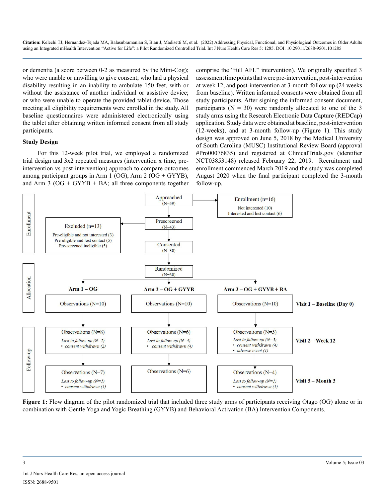or dementia (a score between 0-2 as measured by the Mini-Cog); who were unable or unwilling to give consent; who had a physical disability resulting in an inability to ambulate 150 feet, with or without the assistance of another individual or assistive device; or who were unable to operate the provided tablet device. Those meeting all eligibility requirements were enrolled in the study. All baseline questionnaires were administered electronically using the tablet after obtaining written informed consent from all study participants.

#### **Study Design**

For this 12-week pilot trial, we employed a randomized trial design and 3x2 repeated measures (intervention x time, preintervention vs post-intervention) approach to compare outcomes among participant groups in Arm 1 (OG), Arm 2 (OG + GYYB), and Arm 3 ( $OG + GYYB + BA$ ; all three components together comprise the "full AFL" intervention). We originally specified 3 assessment time points that were pre-intervention, post-intervention at week 12, and post-intervention at 3-month follow-up (24 weeks from baseline). Written informed consents were obtained from all study participants. After signing the informed consent document, participants ( $N = 30$ ) were randomly allocated to one of the 3 study arms using the Research Electronic Data Capture (REDCap) application. Study data were obtained at baseline, post-intervention (12-weeks), and at 3-month follow-up (Figure 1). This study design was approved on June 5, 2018 by the Medical University of South Carolina (MUSC) Institutional Review Board (approval #Pro00076835) and registered at ClinicalTrials.gov (identifier NCT03853148) released February 22, 2019. Recruitment and enrollment commenced March 2019 and the study was completed August 2020 when the final participant completed the 3-month follow-up.



**Figure 1:** Flow diagram of the pilot randomized trial that included three study arms of participants receiving Otago (OG) alone or in combination with Gentle Yoga and Yogic Breathing (GYYB) and Behavioral Activation (BA) Intervention Components.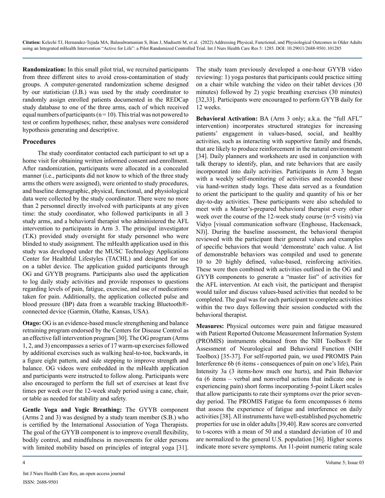**Randomization:** In this small pilot trial, we recruited participants from three different sites to avoid cross-contamination of study groups. A computer-generated randomization scheme designed by our statistician (J.B.) was used by the study coordinator to randomly assign enrolled patients documented in the REDCap study database to one of the three arms, each of which received equal numbers of participants ( $n = 10$ ). This trial was not powered to test or confirm hypotheses; rather, these analyses were considered hypothesis generating and descriptive.

### **Procedures**

The study coordinator contacted each participant to set up a home visit for obtaining written informed consent and enrollment. After randomization, participants were allocated in a concealed manner (i.e., participants did not know to which of the three study arms the others were assigned), were oriented to study procedures, and baseline demographic, physical, functional, and physiological data were collected by the study coordinator. There were no more than 2 personnel directly involved with participants at any given time: the study coordinator, who followed participants in all 3 study arms, and a behavioral therapist who administered the AFL intervention to participants in Arm 3. The principal investigator (T.K) provided study oversight for study personnel who were blinded to study assignment. The mHealth application used in this study was developed under the MUSC Technology Applications Center for Healthful Lifestyles (TACHL) and designed for use on a tablet device. The application guided participants through OG and GYYB programs. Participants also used the application to log daily study activities and provide responses to questions regarding levels of pain, fatigue, exercise, and use of medications taken for pain. Additionally, the application collected pulse and blood pressure (BP) data from a wearable tracking Bluetooth® connected device (Garmin, Olathe, Kansas, USA).

**Otago:** OG is an evidence-based muscle strengthening and balance retraining program endorsed by the Centers for Disease Control as an effective fall intervention program [30]. The OG program (Arms 1, 2, and 3) encompasses a series of 17 warm-up exercises followed by additional exercises such as walking heal-to-toe, backwards, in a figure eight pattern, and side stepping to improve strength and balance. OG videos were embedded in the mHealth application and participants were instructed to follow along. Participants were also encouraged to perform the full set of exercises at least five times per week over the 12-week study period using a cane, chair, or table as needed for stability and safety.

**Gentle Yoga and Yogic Breathing:** The GYYB component (Arms 2 and 3) was designed by a study team member (S.B.) who is certified by the International Association of Yoga Therapists. The goal of the GYYB component is to improve overall flexibility, bodily control, and mindfulness in movements for older persons with limited mobility based on principles of integral yoga [31]. The study team previously developed a one-hour GYYB video reviewing: 1) yoga postures that participants could practice sitting on a chair while watching the video on their tablet devices (30 minutes) followed by 2) yogic breathing exercises (30 minutes) [32,33]. Participants were encouraged to perform GYYB daily for 12 weeks.

**Behavioral Activation:** BA (Arm 3 only; a.k.a. the "full AFL" intervention) incorporates structured strategies for increasing patients' engagement in values-based, social, and healthy activities, such as interacting with supportive family and friends, that are likely to produce reinforcement in the natural environment [34]. Daily planners and worksheets are used in conjunction with talk therapy to identify, plan, and rate behaviors that are easily incorporated into daily activities. Participants in Arm 3 began with a weekly self-monitoring of activities and recorded these via hand-written study logs. These data served as a foundation to orient the participant to the quality and quantity of his or her day-to-day activities. These participants were also scheduled to meet with a Master's-prepared behavioral therapist every other week over the course of the 12-week study course (n=5 visits) via Vidyo [visual communication software (Enghouse, Hackensack, NJ)]. During the baseline assessment, the behavioral therapist reviewed with the participant their general values and examples of specific behaviors that would 'demonstrate' each value. A list of demonstrable behaviors was compiled and used to generate 10 to 20 highly defined, value-based, reinforcing activities. These were then combined with activities outlined in the OG and GYYB components to generate a "master list" of activities for the AFL intervention. At each visit, the participant and therapist would tailor and discuss values-based activities that needed to be completed. The goal was for each participant to complete activities within the two days following their session conducted with the behavioral therapist.

**Measures:** Physical outcomes were pain and fatigue measured with Patient Reported Outcome Measurement Information System (PROMIS) instruments obtained from the NIH Toolbox® for Assessment of Neurological and Behavioral Function (NIH Toolbox) [35-37]. For self-reported pain, we used PROMIS Pain Interference 6b (6 items - consequences of pain on one's life), Pain Intensity 3a (3 items-how much one hurts), and Pain Behavior 6a (6 items – verbal and nonverbal actions that indicate one is experiencing pain) short forms incorporating 5-point Likert scales that allow participants to rate their symptoms over the prior sevenday period. The PROMIS Fatigue 6a form encompasses 6 items that assess the experience of fatigue and interference on daily activities [38]. All instruments have well-established psychometric properties for use in older adults [39,40]. Raw scores are converted to t-scores with a mean of 50 and a standard deviation of 10 and are normalized to the general U.S. population [36]. Higher scores indicate more severe symptoms. An 11-point numeric rating scale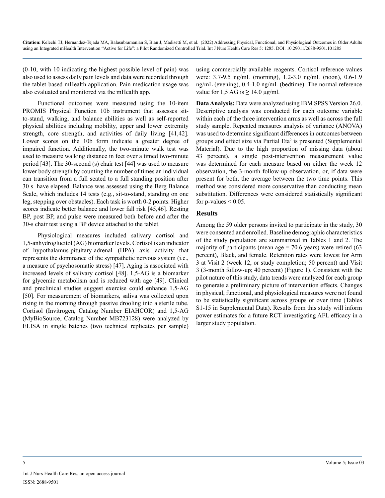(0-10, with 10 indicating the highest possible level of pain) was also used to assess daily pain levels and data were recorded through the tablet-based mHealth application. Pain medication usage was also evaluated and monitored via the mHealth app.

Functional outcomes were measured using the 10-item PROMIS Physical Function 10b instrument that assesses sitto-stand, walking, and balance abilities as well as self-reported physical abilities including mobility, upper and lower extremity strength, core strength, and activities of daily living [41,42]. Lower scores on the 10b form indicate a greater degree of impaired function. Additionally, the two-minute walk test was used to measure walking distance in feet over a timed two-minute period [43]. The 30-second (s) chair test [44] was used to measure lower body strength by counting the number of times an individual can transition from a full seated to a full standing position after 30 s have elapsed. Balance was assessed using the Berg Balance Scale, which includes 14 tests (e.g., sit-to-stand, standing on one leg, stepping over obstacles). Each task is worth 0-2 points. Higher scores indicate better balance and lower fall risk [45,46]. Resting BP, post BP, and pulse were measured both before and after the 30-s chair test using a BP device attached to the tablet.

Physiological measures included salivary cortisol and 1,5-anhydroglucitol (AG) biomarker levels. Cortisol is an indicator of hypothalamus-pituitary-adrenal (HPA) axis activity that represents the dominance of the sympathetic nervous system (i.e., a measure of psychosomatic stress) [47]. Aging is associated with increased levels of salivary cortisol [48]. 1,5-AG is a biomarker for glycemic metabolism and is reduced with age [49]. Clinical and preclinical studies suggest exercise could enhance 1.5-AG [50]. For measurement of biomarkers, saliva was collected upon rising in the morning through passive drooling into a sterile tube. Cortisol (Invitrogen, Catalog Number EIAHCOR) and 1,5-AG (MyBioSource, Catalog Number MB723128) were analyzed by ELISA in single batches (two technical replicates per sample)

using commercially available reagents. Cortisol reference values were: 3.7-9.5 ng/mL (morning), 1.2-3.0 ng/mL (noon), 0.6-1.9 ng/mL (evening), 0.4-1.0 ng/mL (bedtime). The normal reference value for  $1,5$  AG is  $\geq 14.0$   $\mu$ g/ml.

**Data Analysis:** Data were analyzed using IBM SPSS Version 26.0. Descriptive analysis was conducted for each outcome variable within each of the three intervention arms as well as across the full study sample. Repeated measures analysis of variance (ANOVA) was used to determine significant differences in outcomes between groups and effect size via Partial Eta<sup>2</sup> is presented (Supplemental Material). Due to the high proportion of missing data (about 43 percent), a single post-intervention measurement value was determined for each measure based on either the week 12 observation, the 3-month follow-up observation, or, if data were present for both, the average between the two time points. This method was considered more conservative than conducting mean substitution. Differences were considered statistically significant for  $p$ -values  $\leq 0.05$ .

#### **Results**

Among the 59 older persons invited to participate in the study, 30 were consented and enrolled. Baseline demographic characteristics of the study population are summarized in Tables 1 and 2. The majority of participants (mean age  $= 70.6$  years) were retired (63 percent), Black, and female. Retention rates were lowest for Arm 3 at Visit 2 (week 12, or study completion; 50 percent) and Visit 3 (3-month follow-up; 40 percent) (Figure 1). Consistent with the pilot nature of this study, data trends were analyzed for each group to generate a preliminary picture of intervention effects. Changes in physical, functional, and physiological measures were not found to be statistically significant across groups or over time (Tables S1-15 in Supplemental Data). Results from this study will inform power estimates for a future RCT investigating AFL efficacy in a larger study population.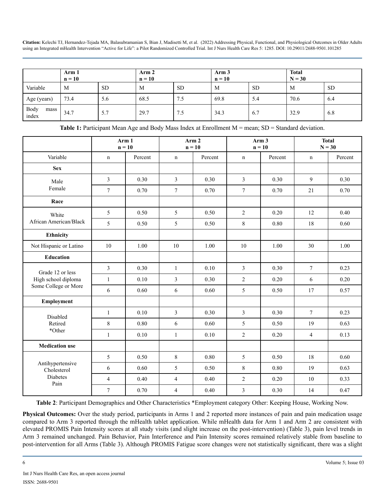|                       | Arm 1<br>$n = 10$ |           | Arm 2<br>$n = 10$ |           | Arm 3<br>$n = 10$ |           | <b>Total</b><br>$N = 30$ |           |
|-----------------------|-------------------|-----------|-------------------|-----------|-------------------|-----------|--------------------------|-----------|
| Variable              | M                 | <b>SD</b> | M                 | <b>SD</b> | M                 | <b>SD</b> | M                        | <b>SD</b> |
| Age (years)           | 73.4              | 5.6       | 68.5              | 7.5       | 69.8              | 5.4       | 70.6                     | 6.4       |
| Body<br>mass<br>index | 34.7              | 5.7       | 29.7              | 7.5       | 34.3              | 6.7       | 32.9                     | 6.8       |

**Table 1:** Participant Mean Age and Body Mass Index at Enrollment M = mean; SD = Standard deviation.

|                                 |                | Arm <sub>2</sub><br>Arm 1<br>$n = 10$<br>$n = 10$ |                | Arm <sub>3</sub><br>$n = 10$ |                  | <b>Total</b><br>$N = 30$ |                |         |
|---------------------------------|----------------|---------------------------------------------------|----------------|------------------------------|------------------|--------------------------|----------------|---------|
| Variable                        | $\mathbf n$    | Percent                                           | $\mathbf n$    | Percent                      | $\mathbf n$      | Percent                  | n              | Percent |
| <b>Sex</b>                      |                |                                                   |                |                              |                  |                          |                |         |
| Male                            | $\overline{3}$ | 0.30                                              | $\overline{3}$ | 0.30                         | $\overline{3}$   | 0.30                     | 9              | 0.30    |
| Female                          | $\tau$         | 0.70                                              | $\overline{7}$ | 0.70                         | $\boldsymbol{7}$ | 0.70                     | 21             | 0.70    |
| Race                            |                |                                                   |                |                              |                  |                          |                |         |
| White                           | 5              | 0.50                                              | 5              | 0.50                         | $\overline{2}$   | 0.20                     | 12             | 0.40    |
| African American/Black          | 5              | 0.50                                              | 5              | 0.50                         | 8                | 0.80                     | 18             | 0.60    |
| Ethnicity                       |                |                                                   |                |                              |                  |                          |                |         |
| Not Hispanic or Latino          | 10             | 1.00                                              | 10             | 1.00                         | $10\,$           | 1.00                     | 30             | 1.00    |
| <b>Education</b>                |                |                                                   |                |                              |                  |                          |                |         |
| Grade 12 or less                | $\overline{3}$ | 0.30                                              | $\mathbf{1}$   | 0.10                         | $\overline{3}$   | 0.30                     | $\tau$         | 0.23    |
| High school diploma             | $\mathbf{1}$   | 0.10                                              | $\mathfrak{Z}$ | 0.30                         | $\overline{2}$   | 0.20                     | 6              | 0.20    |
| Some College or More            | 6              | 0.60                                              | 6              | 0.60                         | 5                | 0.50                     | 17             | 0.57    |
| Employment                      |                |                                                   |                |                              |                  |                          |                |         |
| Disabled                        | $\mathbf{1}$   | 0.10                                              | $\overline{3}$ | 0.30                         | $\overline{3}$   | 0.30                     | $\tau$         | 0.23    |
| Retired                         | $\,8\,$        | 0.80                                              | 6              | 0.60                         | 5                | 0.50                     | 19             | 0.63    |
| *Other                          | $\mathbf{1}$   | 0.10                                              | $\mathbf{1}$   | 0.10                         | $\overline{2}$   | 0.20                     | $\overline{4}$ | 0.13    |
| <b>Medication</b> use           |                |                                                   |                |                              |                  |                          |                |         |
|                                 | 5              | 0.50                                              | 8              | 0.80                         | 5                | 0.50                     | 18             | 0.60    |
| Antihypertensive<br>Cholesterol | 6              | 0.60                                              | 5              | 0.50                         | 8                | 0.80                     | 19             | 0.63    |
| Diabetes<br>Pain                | $\overline{4}$ | 0.40                                              | $\overline{4}$ | 0.40                         | $\overline{2}$   | 0.20                     | 10             | 0.33    |
|                                 | $\tau$         | 0.70                                              | $\overline{4}$ | 0.40                         | $\mathfrak{Z}$   | 0.30                     | 14             | 0.47    |

**Table 2**: Participant Demographics and Other Characteristics \*Employment category Other: Keeping House, Working Now.

**Physical Outcomes:** Over the study period, participants in Arms 1 and 2 reported more instances of pain and pain medication usage compared to Arm 3 reported through the mHealth tablet application. While mHealth data for Arm 1 and Arm 2 are consistent with elevated PROMIS Pain Intensity scores at all study visits (and slight increase on the post-intervention) (Table 3), pain level trends in Arm 3 remained unchanged. Pain Behavior, Pain Interference and Pain Intensity scores remained relatively stable from baseline to post-intervention for all Arms (Table 3). Although PROMIS Fatigue score changes were not statistically significant, there was a slight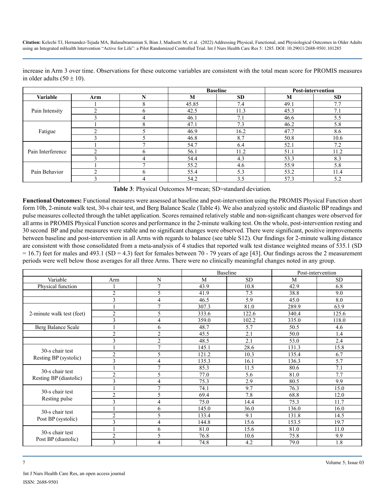|                   |     |              | <b>Baseline</b> | <b>Post-intervention</b> |      |      |
|-------------------|-----|--------------|-----------------|--------------------------|------|------|
| Variable          | Arm | N            | M               | <b>SD</b>                | M    | SD.  |
|                   |     | $\Omega$     | 45.85           | 7.4                      | 49.1 | 7.7  |
| Pain Intensity    |     | h            | 42.5            | 11.3                     | 45.3 | 7.1  |
|                   |     |              | 46.1            | 7.1                      | 46.6 | 5.5  |
|                   |     | 8            | 47.1            | 7.3                      | 46.2 | 5.8  |
| Fatigue           | ◠   |              | 46.9            | 16.2                     | 47.7 | 8.6  |
|                   |     |              | 46.8            | 8.7                      | 50.8 | 10.6 |
| Pain Interference |     |              | 54.7            | 6.4                      | 52.1 | 7.2  |
|                   |     | h            | 56.1            | 11.2                     | 51.1 | 11.2 |
|                   |     | 4            | 54.4            | 4.3                      | 53.3 | 8.3  |
| Pain Behavior     |     |              | 55.2            | 4.6                      | 55.9 | 5.8  |
|                   | ◠   | <sub>b</sub> | 55.4            | 5.3                      | 53.2 | 11.4 |
|                   |     |              | 54.2            | 3.5                      | 57.3 | 5.2  |

increase in Arm 3 over time. Observations for these outcome variables are consistent with the total mean score for PROMIS measures in older adults  $(50 \pm 10)$ .

**Table 3**: Physical Outcomes M=mean; SD=standard deviation.

**Functional Outcomes:** Functional measures were assessed at baseline and post-intervention using the PROMIS Physical Function short form 10b, 2-minute walk test, 30-s chair test, and Berg Balance Scale (Table 4). We also analyzed systolic and diastolic BP readings and pulse measures collected through the tablet application. Scores remained relatively stable and non-significant changes were observed for all arms in PROMIS Physical Function scores and performance in the 2-minute walking test. On the whole, post-intervention resting and 30 second BP and pulse measures were stable and no significant changes were observed. There were significant, positive improvements between baseline and post-intervention in all Arms with regards to balance (see table S12). Our findings for 2-minute walking distance are consistent with those consolidated from a meta-analysis of 4 studies that reported walk test distance weighted means of 535.1 (SD  $= 16.7$ ) feet for males and 493.1 (SD = 4.3) feet for females between 70 - 79 years of age [43]. Our findings across the 2 measurement periods were well below those averages for all three Arms. There were no clinically meaningful changes noted in any group.

|                           |                |                |       | <b>Baseline</b> | Post-intervention |           |  |
|---------------------------|----------------|----------------|-------|-----------------|-------------------|-----------|--|
| Variable                  | Arm            | N              | M     | <b>SD</b>       | M                 | <b>SD</b> |  |
| Physical function         |                | 7              | 43.9  | 10.8            | 42.9              | 6.8       |  |
|                           | $\overline{2}$ | 5              | 41.9  | 7.5             | 38.8              | 9.0       |  |
|                           | 3              | 4              | 46.5  | 5.9             | 45.0              | 8.0       |  |
|                           |                | $\overline{7}$ | 307.3 | 81.0            | 289.9             | 63.9      |  |
| 2-minute walk test (feet) | $\overline{2}$ | 5              | 333.6 | 122.6           | 340.4             | 125.6     |  |
|                           | 3              | 4              | 359.0 | 102.2           | 335.0             | 118.0     |  |
| Berg Balance Scale        |                | 6              | 48.7  | 5.7             | 50.5              | 4.6       |  |
|                           | $\overline{2}$ | $\overline{c}$ | 45.5  | 2.1             | 50.0              | 1.4       |  |
|                           | 3              | $\overline{c}$ | 48.5  | 2.1             | 53.0              | 2.4       |  |
| 30-s chair test           |                | $\overline{7}$ | 145.1 | 28.6            | 131.3             | 15.8      |  |
|                           | $\overline{2}$ | 5              | 121.2 | 10.3            | 135.4             | 6.7       |  |
| Resting BP (systolic)     | 3              | 4              | 135.3 | 16.1            | 136.3             | 5.7       |  |
| 30-s chair test           |                | 7              | 85.3  | 11.5            | 80.6              | 7.1       |  |
|                           | $\overline{2}$ | 5              | 77.0  | 5.6             | 81.0              | 7.7       |  |
| Resting BP (diastolic)    | 3              | 4              | 75.3  | 2.9             | 80.5              | 9.9       |  |
| 30-s chair test           |                | $\overline{7}$ | 74.1  | 9.7             | 76.3              | 15.0      |  |
|                           | $\overline{2}$ | 5              | 69.4  | 7.8             | 68.8              | 12.0      |  |
| Resting pulse             | $\overline{3}$ | 4              | 75.0  | 14.4            | 75.3              | 11.7      |  |
| 30-s chair test           |                | 6              | 145.0 | 36.0            | 136.0             | 16.0      |  |
|                           | $\overline{2}$ | 5              | 133.4 | 9.1             | 131.8             | 14.5      |  |
| Post BP (systolic)        | $\mathfrak{Z}$ | 4              | 144.8 | 15.6            | 153.5             | 19.7      |  |
| 30-s chair test           |                | 6              | 81.0  | 15.6            | 81.0              | 11.0      |  |
|                           | $\overline{2}$ | 5              | 76.8  | 10.6            | 75.8              | 9.9       |  |
| Post BP (diastolic)       | 3              | 4              | 74.8  | 4.2             | 79.0              | 1.8       |  |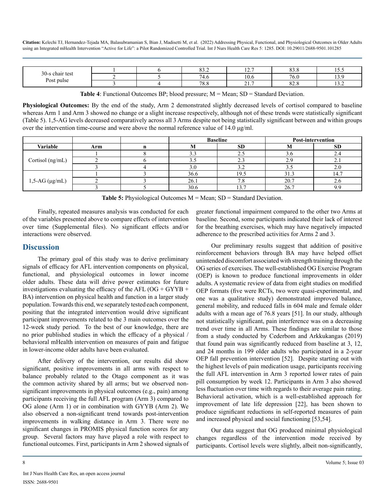| $30 - 9$      |  | $\sim$ $\sim$<br>ے. دہ | $\sim$ $-$<br>$\overline{1}$ | $\sim$<br><i></i> . | 1 J .J |
|---------------|--|------------------------|------------------------------|---------------------|--------|
| test<br>chair |  | - -<br>T.U             | $\sim$<br>10.0               | 76<br>0.U           |        |
| Post pulse    |  | 700<br>$^{\prime}$ 0.0 | $21 -$<br><u>.</u>           | $\sim$<br>∪…∪       | .      |

**Table 4**: Functional Outcomes BP; blood pressure; M = Mean; SD = Standard Deviation.

**Physiological Outcomes:** By the end of the study, Arm 2 demonstrated slightly decreased levels of cortisol compared to baseline whereas Arm 1 and Arm 3 showed no change or a slight increase respectively, although not of these trends were statistically significant (Table 5). 1,5-AG levels decreased comparatively across all 3 Arms despite not being statistically significant between and within groups over the intervention time-course and were above the normal reference value of 14.0 μg/ml.

|                         |     | <b>Baseline</b> |                 | <b>Post-intervention</b> |            |
|-------------------------|-----|-----------------|-----------------|--------------------------|------------|
| Variable                | Arm | 1V.             | <b>SD</b>       | 1VI                      | SD         |
| Cortisol (ng/mL)        |     |                 | 2.5             | $\sim$<br>5.0            |            |
|                         |     | ر. ر            | $\mathcal{L}$ . | $\sim$<br>$\overline{a}$ | $\sim$     |
|                         |     |                 | ے.د             | ۔ ب                      |            |
| $1,5$ -AG ( $\mu$ g/mL) |     | 36.6            | 19.5            | 31.3                     |            |
|                         |     | 26.1            | $\cdot$ C       | 20.7                     | $\angle 0$ |
|                         |     | 30.6            | 13.7            | 26.7                     |            |

**Table 5:** Physiological Outcomes M = Mean; SD = Standard Deviation.

Finally, repeated measures analysis was conducted for each of the variables presented above to compare effects of intervention over time (Supplemental files). No significant effects and/or interactions were observed.

#### **Discussion**

The primary goal of this study was to derive preliminary signals of efficacy for AFL intervention components on physical, functional, and physiological outcomes in lower income older adults. These data will drive power estimates for future investigations evaluating the efficacy of the AFL ( $OG + GYYB +$ BA) intervention on physical health and function in a larger study population. Towards this end, we separately tested each component, positing that the integrated intervention would drive significant participant improvements related to the 3 main outcomes over the 12-week study period. To the best of our knowledge, there are no prior published studies in which the efficacy of a physical / behavioral mHealth intervention on measures of pain and fatigue in lower-income older adults have been evaluated.

After delivery of the intervention, our results did show significant, positive improvements in all arms with respect to balance probably related to the Otago component as it was the common activity shared by all arms; but we observed nonsignificant improvements in physical outcomes (e.g., pain) among participants receiving the full AFL program (Arm 3) compared to OG alone (Arm 1) or in combination with GYYB (Arm 2). We also observed a non-significant trend towards post-intervention improvements in walking distance in Arm 3. There were no significant changes in PROMIS physical function scores for any group. Several factors may have played a role with respect to functional outcomes. First, participants in Arm 2 showed signals of greater functional impairment compared to the other two Arms at baseline. Second, some participants indicated their lack of interest for the breathing exercises, which may have negatively impacted adherence to the prescribed activities for Arms 2 and 3.

Our preliminary results suggest that addition of positive reinforcement behaviors through BA may have helped offset unintended discomfort associated with strength training through the OG series of exercises. The well-established OG Exercise Program (OEP) is known to produce functional improvements in older adults. A systematic review of data from eight studies on modified OEP formats (five were RCTs, two were quasi-experimental, and one was a qualitative study) demonstrated improved balance, general mobility, and reduced falls in 604 male and female older adults with a mean age of 76.8 years [51]. In our study, although not statistically significant, pain interference was on a decreasing trend over time in all Arms. These findings are similar to those from a study conducted by Cederbom and Arkkukangas (2019) that found pain was significantly reduced from baseline at 3, 12, and 24 months in 199 older adults who participated in a 2-year OEP fall prevention intervention [52]. Despite starting out with the highest levels of pain medication usage, participants receiving the full AFL intervention in Arm 3 reported lower rates of pain pill consumption by week 12. Participants in Arm 3 also showed less fluctuation over time with regards to their average pain rating. Behavioral activation, which is a well-established approach for improvement of late life depression [22], has been shown to produce significant reductions in self-reported measures of pain and increased physical and social functioning [53,54].

Our data suggest that OG produced minimal physiological changes regardless of the intervention mode received by participants. Cortisol levels were slightly, albeit non-significantly,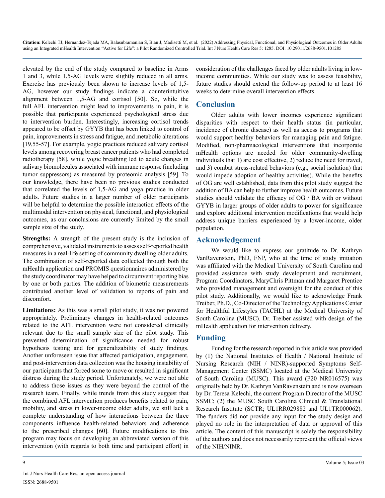elevated by the end of the study compared to baseline in Arms 1 and 3, while 1,5-AG levels were slightly reduced in all arms. Exercise has previously been shown to increase levels of 1,5- AG, however our study findings indicate a counterintuitive alignment between 1,5-AG and cortisol [50]. So, while the full AFL intervention might lead to improvements in pain, it is possible that participants experienced psychological stress due to intervention burden. Interestingly, increasing cortisol trends appeared to be offset by GYYB that has been linked to control of pain, improvements in stress and fatigue, and metabolic alterations [19,55-57]. For example, yogic practices reduced salivary cortisol levels among recovering breast cancer patients who had completed radiotherapy [58], while yogic breathing led to acute changes in salivary biomolecules associated with immune response (including tumor suppressors) as measured by proteomic analysis [59]. To our knowledge, there have been no previous studies conducted that correlated the levels of 1,5-AG and yoga practice in older adults. Future studies in a larger number of older participants will be helpful to determine the possible interaction effects of the multimodal intervention on physical, functional, and physiological outcomes, as our conclusions are currently limited by the small sample size of the study.

**Strengths:** A strength of the present study is the inclusion of comprehensive, validated instruments to assess self-reported health measures in a real-life setting of community dwelling older adults. The combination of self-reported data collected through both the mHealth application and PROMIS questionnaires administered by the study coordinator may have helped to circumvent reporting bias by one or both parties. The addition of biometric measurements contributed another level of validation to reports of pain and discomfort.

**Limitations:** As this was a small pilot study, it was not powered appropriately. Preliminary changes in health-related outcomes related to the AFL intervention were not considered clinically relevant due to the small sample size of the pilot study. This prevented determination of significance needed for robust hypothesis testing and for generalizability of study findings. Another unforeseen issue that affected participation, engagement, and post-intervention data collection was the housing instability of our participants that forced some to move or resulted in significant distress during the study period. Unfortunately, we were not able to address those issues as they were beyond the control of the research team. Finally, while trends from this study suggest that the combined AFL intervention produces benefits related to pain, mobility, and stress in lower-income older adults, we still lack a complete understanding of how interactions between the three components influence health-related behaviors and adherence to the prescribed changes [60]. Future modifications to this program may focus on developing an abbreviated version of this intervention (with regards to both time and participant effort) in

consideration of the challenges faced by older adults living in lowincome communities. While our study was to assess feasibility, future studies should extend the follow-up period to at least 16 weeks to determine overall intervention effects.

# **Conclusion**

Older adults with lower incomes experience significant disparities with respect to their health status (in particular, incidence of chronic disease) as well as access to programs that would support healthy behaviors for managing pain and fatigue. Modified, non-pharmacological interventions that incorporate mHealth options are needed for older community-dwelling individuals that 1) are cost effective, 2) reduce the need for travel, and 3) combat stress-related behaviors (e.g., social isolation) that would impede adoption of healthy activities). While the benefits of OG are well established, data from this pilot study suggest the addition of BA can help to further improve health outcomes. Future studies should validate the efficacy of OG / BA with or without GYYB in larger groups of older adults to power for significance and explore additional intervention modifications that would help address unique barriers experienced by a lower-income, older population.

# **Acknowledgement**

We would like to express our gratitude to Dr. Kathryn VanRavenstein, PhD, FNP, who at the time of study initiation was affiliated with the Medical University of South Carolina and provided assistance with study development and recruitment, Program Coordinators, MaryChris Pittman and Margaret Prentice who provided management and oversight for the conduct of this pilot study. Additionally, we would like to acknowledge Frank Treiber, Ph.D., Co-Director of the Technology Applications Center for Healthful Lifestyles (TACHL) at the Medical University of South Carolina (MUSC). Dr. Treiber assisted with design of the mHealth application for intervention delivery.

# **Funding**

Funding for the research reported in this article was provided by (1) the National Institutes of Health / National Institute of Nursing Research (NIH / NINR)-supported Symptoms Self-Management Center (SSMC) located at the Medical University of South Carolina (MUSC). This award (P20 NR016575) was originally held by Dr. Kathryn VanRavenstein and is now overseen by Dr. Teresa Kelechi, the current Program Director of the MUSC SSMC; (2) the MUSC South Carolina Clinical & Translational Research Institute (SCTR; UL1RR029882 and UL1TR000062). The funders did not provide any input for the study design and played no role in the interpretation of data or approval of this article. The content of this manuscript is solely the responsibility of the authors and does not necessarily represent the official views of the NIH/NINR.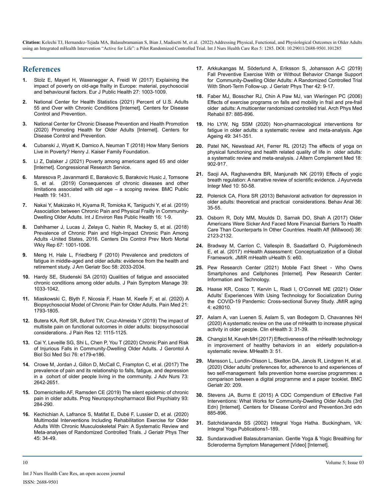#### **References**

- **1.** [Stolz E, Mayerl H, Waxenegger A, Freidl W \(2017\) Explaining the](https://pubmed.ncbi.nlm.nih.gov/29020312/)  [impact of poverty on old-age frailty in Europe: material, psychosocial](https://pubmed.ncbi.nlm.nih.gov/29020312/)  [and behavioural factors. Eur J Public Health 27: 1003-1009.](https://pubmed.ncbi.nlm.nih.gov/29020312/)
- **2.** [National Center for Health Statistics \(2021\) Percent of U.S. Adults](https://www.cdc.gov/nchs/health_policy/adult_chronic_conditions.htm)  [55 and Over with Chronic Conditions \[Internet\]. Centers for Disease](https://www.cdc.gov/nchs/health_policy/adult_chronic_conditions.htm)  [Control and Prevention.](https://www.cdc.gov/nchs/health_policy/adult_chronic_conditions.htm)
- **3.** [National Center for Chronic Disease Prevention and Health Promotion](https://www.cdc.gov/chronicdisease/resources/publications/factsheets/promoting-health-for-older-adults.htm)  [\(2020\) Promoting Health for Older Adults \[Internet\]. Centers for](https://www.cdc.gov/chronicdisease/resources/publications/factsheets/promoting-health-for-older-adults.htm)  [Disease Control and Prevention.](https://www.cdc.gov/chronicdisease/resources/publications/factsheets/promoting-health-for-older-adults.htm)
- **4.** [Cubanski J, Wyatt K, Damico A, Neuman T \(2018\) How Many Seniors](https://www.kff.org/medicare/issue-brief/how-many-seniors-live-in-poverty/)  [Live in Poverty? Henry J. Kaiser Family Foundation.](https://www.kff.org/medicare/issue-brief/how-many-seniors-live-in-poverty/)
- **5.** [Li Z, Dalaker J \(2021\) Poverty among americans aged 65 and older](https://sgp.fas.org/crs/misc/R45791.pdf)  [\[Internet\]. Congressional Research Service.](https://sgp.fas.org/crs/misc/R45791.pdf)
- **6.** [Maresova P, Javanmardi E, Barakovic S, Barakovic Husic J, Tomsone](https://pubmed.ncbi.nlm.nih.gov/31675997/)  [S, et al. \(2019\) Consequences of chronic diseases and other](https://pubmed.ncbi.nlm.nih.gov/31675997/)  [limitations associated with old age – a scoping review. BMC Public](https://pubmed.ncbi.nlm.nih.gov/31675997/) [Health 19: 1431.](https://pubmed.ncbi.nlm.nih.gov/31675997/)
- **7.** [Nakai Y, Makizako H, Kiyama R, Tomioka K, Taniguchi Y, et al. \(2019\)](https://www.ncbi.nlm.nih.gov/pmc/articles/PMC6518051/)  [Association between Chronic Pain and Physical Frailty in Community-](https://www.ncbi.nlm.nih.gov/pmc/articles/PMC6518051/)[Dwelling Older Adults. Int J Environ Res Public Health 16: 1-9.](https://www.ncbi.nlm.nih.gov/pmc/articles/PMC6518051/)
- **8.** [Dahlhamer J, Lucas J, Zelaya C, Nahin R, Mackey S, et al. \(2018\)](https://pubmed.ncbi.nlm.nih.gov/30212442/)  [Prevalence of Chronic Pain and High-Impact Chronic Pain Among](https://pubmed.ncbi.nlm.nih.gov/30212442/)  [Adults -United States, 2016. Centers Dis Control Prev Morb Mortal](https://pubmed.ncbi.nlm.nih.gov/30212442/)  [Wkly Rep 67: 1001-1006.](https://pubmed.ncbi.nlm.nih.gov/30212442/)
- **9.** [Meng H, Hale L, Friedberg F \(2010\) Prevalence and predictors of](https://www.ncbi.nlm.nih.gov/pmc/articles/PMC2981161/)  [fatigue in middle-aged and older adults: evidence from the health and](https://www.ncbi.nlm.nih.gov/pmc/articles/PMC2981161/)  [retirement study. J Am Geriatr Soc 58: 2033-2034.](https://www.ncbi.nlm.nih.gov/pmc/articles/PMC2981161/)
- **10.** [Hardy SE, Studenski SA \(2010\) Qualities of fatigue and associated](https://pubmed.ncbi.nlm.nih.gov/20538185/)  [chronic conditions among older adults. J Pain Symptom Manage 39:](https://pubmed.ncbi.nlm.nih.gov/20538185/)  [1033-1042.](https://pubmed.ncbi.nlm.nih.gov/20538185/)
- **11.** [Miaskowski C, Blyth F, Nicosia F, Haan M, Keefe F, et al. \(2020\) A](https://pubmed.ncbi.nlm.nih.gov/31846035/) [Biopsychosocial Model of Chronic Pain for Older Adults. Pain Med 21:](https://pubmed.ncbi.nlm.nih.gov/31846035/) [1793-1805.](https://pubmed.ncbi.nlm.nih.gov/31846035/)
- **12.** [Butera KA, Roff SR, Buford TW, Cruz-Almeida Y \(2019\) The impact of](https://pubmed.ncbi.nlm.nih.gov/30992680/) [multisite pain on functional outcomes in older adults: biopsychosocial](https://pubmed.ncbi.nlm.nih.gov/30992680/)  [considerations. J Pain Res 12: 1115-1125.](https://pubmed.ncbi.nlm.nih.gov/30992680/)
- **13.** [Cai Y, Leveille SG, Shi L, Chen P, You T \(2020\) Chronic Pain and Risk](https://pubmed.ncbi.nlm.nih.gov/33000168/)  [of Injurious Falls in Community-Dwelling Older Adults. J Gerontol A](https://pubmed.ncbi.nlm.nih.gov/33000168/) [Biol Sci Med Sci 76: e179-e186.](https://pubmed.ncbi.nlm.nih.gov/33000168/)
- **14.** [Crowe M, Jordan J, Gillon D, McCall C, Frampton C, et al. \(2017\) The](https://pubmed.ncbi.nlm.nih.gov/28475222/)  [prevalence of pain and its relationship to falls, fatigue, and depression](https://pubmed.ncbi.nlm.nih.gov/28475222/)  [in a cohort of older people living in the community. J Adv Nurs 73:](https://pubmed.ncbi.nlm.nih.gov/28475222/)  [2642-2651.](https://pubmed.ncbi.nlm.nih.gov/28475222/)
- **15.** [Domenichiello AF, Ramsden CE \(2019\) The silent epidemic of chronic](https://pubmed.ncbi.nlm.nih.gov/31004724/)  [pain in older adults. Prog Neuropsychopharmacol Biol Psychiatry 93:](https://pubmed.ncbi.nlm.nih.gov/31004724/)  [284-290.](https://pubmed.ncbi.nlm.nih.gov/31004724/)
- **16.** [Kechichian A, Lafrance S, Matifat E, Dubé F, Lussier D, et al. \(2020\)](https://pubmed.ncbi.nlm.nih.gov/34928239/)  [Multimodal Interventions Including Rehabilitation Exercise for Older](https://pubmed.ncbi.nlm.nih.gov/34928239/)  [Adults With Chronic Musculoskeletal Pain: A Systematic Review and](https://pubmed.ncbi.nlm.nih.gov/34928239/)  [Meta-analyses of Randomized Controlled Trials. J Geriatr Phys Ther](https://pubmed.ncbi.nlm.nih.gov/34928239/)  [45: 34-49.](https://pubmed.ncbi.nlm.nih.gov/34928239/)
- **17.** [Arkkukangas M, Söderlund A, Eriksson S, Johansson A-C \(2019\)](https://pubmed.ncbi.nlm.nih.gov/28244890/)  [Fall Preventive Exercise With or Without Behavior Change Support](https://pubmed.ncbi.nlm.nih.gov/28244890/)  [for Community-Dwelling Older Adults: A Randomized Controlled Trial](https://pubmed.ncbi.nlm.nih.gov/28244890/) [With Short-Term Follow-up. J Geriatr Phys Ther 42: 9-17.](https://pubmed.ncbi.nlm.nih.gov/28244890/)
- **18.** [Faber MJ, Bosscher RJ, Chin A Paw MJ, van Wieringen PC \(2006\)](http://europepmc.org/article/MED/16813773) [Effects of exercise programs on falls and mobility in frail and pre-frail](http://europepmc.org/article/MED/16813773)  [older adults: A multicenter randomized controlled trial. Arch Phys Med](http://europepmc.org/article/MED/16813773)  [Rehabil 87: 885-896.](http://europepmc.org/article/MED/16813773)
- **19.** [Ho LYW, Ng SSM \(2020\) Non-pharmacological interventions for](https://pubmed.ncbi.nlm.nih.gov/32101281/)  [fatigue in older adults: a systematic review and meta-analysis. Age](https://pubmed.ncbi.nlm.nih.gov/32101281/)  [Ageing 49: 341-351.](https://pubmed.ncbi.nlm.nih.gov/32101281/)
- **20.** [Patel NK, Newstead AH, Ferrer RL \(2012\) The effects of yoga on](https://pubmed.ncbi.nlm.nih.gov/22909385/) [physical functioning and health related quality of life in older adults:](https://pubmed.ncbi.nlm.nih.gov/22909385/)  [a systematic review and meta-analysis. J Altern Complement Med 18:](https://pubmed.ncbi.nlm.nih.gov/22909385/)  [902-917.](https://pubmed.ncbi.nlm.nih.gov/22909385/)
- **21.** [Saoji AA, Raghavendra BR, Manjunath NK \(2019\) Effects of yogic](https://pubmed.ncbi.nlm.nih.gov/29395894/)  [breath regulation: A narrative review of scientific evidence. J Ayurveda](https://pubmed.ncbi.nlm.nih.gov/29395894/)  [Integr Med 10: 50-58.](https://pubmed.ncbi.nlm.nih.gov/29395894/)
- **22.** [Polenick CA, Flora SR \(2013\) Behavioral activation for depression in](https://www.ncbi.nlm.nih.gov/pmc/articles/PMC3640887/)  [older adults: theoretical and practical considerations. Behav Anal 36:](https://www.ncbi.nlm.nih.gov/pmc/articles/PMC3640887/)  [35-55.](https://www.ncbi.nlm.nih.gov/pmc/articles/PMC3640887/)
- **23.** [Osborn R, Doty MM, Moulds D, Sarnak DO, Shah A \(2017\) Older](https://pubmed.ncbi.nlm.nih.gov/29140737/)  [Americans Were Sicker And Faced More Financial Barriers To Health](https://pubmed.ncbi.nlm.nih.gov/29140737/)  [Care Than Counterparts In Other Countries. Health Aff \(Millwood\) 36:](https://pubmed.ncbi.nlm.nih.gov/29140737/) [2123-2132.](https://pubmed.ncbi.nlm.nih.gov/29140737/)
- **24.** [Bradway M, Carrion C, Vallespin B, Saadatfard O, Puigdomènech](https://pubmed.ncbi.nlm.nih.gov/28465282/)  [E, et al. \(2017\) mHealth Assessment: Conceptualization of a Global](https://pubmed.ncbi.nlm.nih.gov/28465282/)  [Framework. JMIR mHealth uHealth 5: e60.](https://pubmed.ncbi.nlm.nih.gov/28465282/)
- **25.** [Pew Research Center \(2021\) Mobile Fact Sheet Who Owns](https://www.pewresearch.org/internet/fact-sheet/mobile/)  [Smartphones and Cellphones \[Internet\]. Pew Research Center:](https://www.pewresearch.org/internet/fact-sheet/mobile/)  [Information and Technology.](https://www.pewresearch.org/internet/fact-sheet/mobile/)
- **26.** [Haase KR, Cosco T, Kervin L, Riadi I, O'Connell ME \(2021\) Older](https://www.ncbi.nlm.nih.gov/pmc/articles/PMC8074950/)  [Adults' Experiences With Using Technology for Socialization During](https://www.ncbi.nlm.nih.gov/pmc/articles/PMC8074950/)  [the COVID-19 Pandemic: Cross-sectional Survey Study. JMIR aging](https://www.ncbi.nlm.nih.gov/pmc/articles/PMC8074950/)  [4: e28010.](https://www.ncbi.nlm.nih.gov/pmc/articles/PMC8074950/)
- **27.** [Aslam A, van Luenen S, Aslam S, van Bodegom D, Chavannes NH](https://www.sciencedirect.com/science/article/pii/S258891412030006X)  [\(2020\) A systematic review on the use of mHealth to increase physical](https://www.sciencedirect.com/science/article/pii/S258891412030006X)  [activity in older people. Clin eHealth 3: 31-39.](https://www.sciencedirect.com/science/article/pii/S258891412030006X)
- **28.** [Changizi M, Kaveh MH \(2017\) Effectiveness of the mHealth technology](https://www.sciencedirect.com/science/article/pii/S258891412030006X)  [in improvement of healthy behaviors in an elderly population-a](https://www.sciencedirect.com/science/article/pii/S258891412030006X)  [systematic review. MHealth 3: 51.](https://www.sciencedirect.com/science/article/pii/S258891412030006X)
- **29.** [Mansson L, Lundin-Olsson L, Skelton DA, Janols R, Lindgren H, et al.](https://bmcgeriatr.biomedcentral.com/articles/10.1186/s12877-020-01592-x) [\(2020\) Older adults' preferences for, adherence to and experiences of](https://bmcgeriatr.biomedcentral.com/articles/10.1186/s12877-020-01592-x)  [two self-management falls prevention home exercise programmes: a](https://bmcgeriatr.biomedcentral.com/articles/10.1186/s12877-020-01592-x)  [comparison between a digital programme and a paper booklet. BMC](https://bmcgeriatr.biomedcentral.com/articles/10.1186/s12877-020-01592-x)  [Geriatr 20: 209.](https://bmcgeriatr.biomedcentral.com/articles/10.1186/s12877-020-01592-x)
- **30.** [Stevens JA, Burns E \(2015\) A CDC Compendium of Effective Fall](https://www.cdc.gov/homeandrecreationalsafety/pdf/falls/CDC_Falls_Compendium-2015-a.pdf)  [Interventions: What Works for Community-Dwelling Older Adults \(3rd](https://www.cdc.gov/homeandrecreationalsafety/pdf/falls/CDC_Falls_Compendium-2015-a.pdf) [Edn\) \[Internet\]. Centers for Disease Control and Prevention.3rd edn](https://www.cdc.gov/homeandrecreationalsafety/pdf/falls/CDC_Falls_Compendium-2015-a.pdf)  [885-896.](https://www.cdc.gov/homeandrecreationalsafety/pdf/falls/CDC_Falls_Compendium-2015-a.pdf)
- **31.** Satchidananda SS (2002) Integral Yoga Hatha. Buckingham, VA: Integral Yoga Publications1-189.
- **32.** [Sundaravadivel Balasubramanian. Gentle Yoga & Yogic Breathing for](https://www.youtube.com/watch?v=nhAGBMCvtlY)  [Scleroderma Symptom Management \[Video\] \[Internet\].](https://www.youtube.com/watch?v=nhAGBMCvtlY)